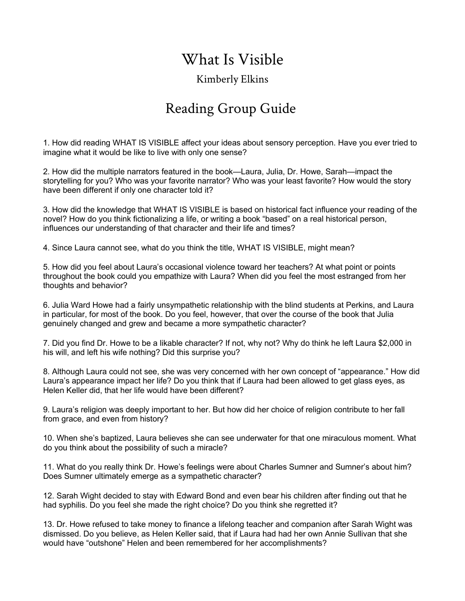## What Is Visible

## Kimberly Elkins

## Reading Group Guide

1. How did reading WHAT IS VISIBLE affect your ideas about sensory perception. Have you ever tried to imagine what it would be like to live with only one sense?

2. How did the multiple narrators featured in the book—Laura, Julia, Dr. Howe, Sarah—impact the storytelling for you? Who was your favorite narrator? Who was your least favorite? How would the story have been different if only one character told it?

3. How did the knowledge that WHAT IS VISIBLE is based on historical fact influence your reading of the novel? How do you think fictionalizing a life, or writing a book "based" on a real historical person, influences our understanding of that character and their life and times?

4. Since Laura cannot see, what do you think the title, WHAT IS VISIBLE, might mean?

5. How did you feel about Laura's occasional violence toward her teachers? At what point or points throughout the book could you empathize with Laura? When did you feel the most estranged from her thoughts and behavior?

6. Julia Ward Howe had a fairly unsympathetic relationship with the blind students at Perkins, and Laura in particular, for most of the book. Do you feel, however, that over the course of the book that Julia genuinely changed and grew and became a more sympathetic character?

7. Did you find Dr. Howe to be a likable character? If not, why not? Why do think he left Laura \$2,000 in his will, and left his wife nothing? Did this surprise you?

8. Although Laura could not see, she was very concerned with her own concept of "appearance." How did Laura's appearance impact her life? Do you think that if Laura had been allowed to get glass eyes, as Helen Keller did, that her life would have been different?

9. Laura's religion was deeply important to her. But how did her choice of religion contribute to her fall from grace, and even from history?

10. When she's baptized, Laura believes she can see underwater for that one miraculous moment. What do you think about the possibility of such a miracle?

11. What do you really think Dr. Howe's feelings were about Charles Sumner and Sumner's about him? Does Sumner ultimately emerge as a sympathetic character?

12. Sarah Wight decided to stay with Edward Bond and even bear his children after finding out that he had syphilis. Do you feel she made the right choice? Do you think she regretted it?

13. Dr. Howe refused to take money to finance a lifelong teacher and companion after Sarah Wight was dismissed. Do you believe, as Helen Keller said, that if Laura had had her own Annie Sullivan that she would have "outshone" Helen and been remembered for her accomplishments?